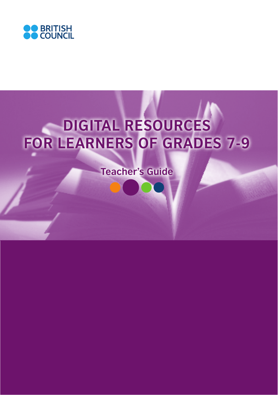

# **DIGITAL RESOURCES FOR LEARNERS OF GRADES 7-9**

**Teacher's Guide**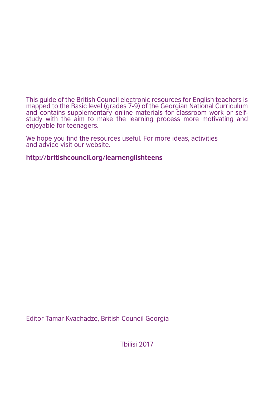This guide of the British Council electronic resources for English teachers is mapped to the Basic level (grades 7-9) of the Georgian National Curriculum and contains supplementary online materials for classroom work or selfstudy with the aim to make the learning process more motivating and enjoyable for teenagers.

We hope you find the resources useful. For more ideas, activities and advice visit our website.

#### **http://britishcouncil.org/learnenglishteens**

Editor Tamar Kvachadze, British Council Georgia

Tbilisi 2017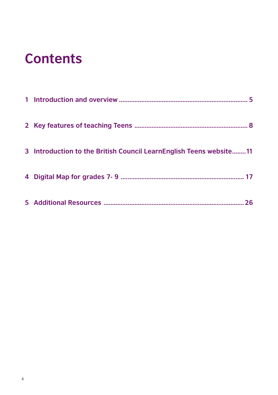#### **Contents**

| 3 Introduction to the British Council LearnEnglish Teens website11 |    |
|--------------------------------------------------------------------|----|
|                                                                    |    |
|                                                                    | 26 |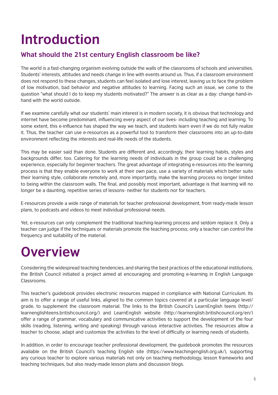### **Introduction**

#### **What should the 21st century English classroom be like?**

The world is a fast-changing organism evolving outside the walls of the classrooms of schools and universities. Students' interests, attitudes and needs change in line with events around us. Thus, if a classroom environment does not respond to these changes, students can feel isolated and lose interest, leaving us to face the problem of low motivation, bad behavior and negative attitudes to learning. Facing such an issue, we come to the question "what should I do to keep my students motivated?" The answer is as clear as a day: change hand-inhand with the world outside.

If we examine carefully what our students' main interest is in modern society, it is obvious that technology and internet have become predominant, influencing every aspect of our lives- including teaching and learning. To some extent, this e-influence has shaped the way we teach, and students learn even if we do not fully realize it. Thus, the teacher can use e-resources as a powerful tool to transform their classrooms into an up-to-date environment reflecting the interests and real-life needs of the students.

This may be easier said than done. Students are different and, accordingly, their learning habits, styles and backgrounds differ, too. Catering for the learning needs of individuals in the group could be a challenging experience, especially for beginner teachers. The great advantage of integrating e-resources into the learning process is that they enable everyone to work at their own pace, use a variety of materials which better suite their learning style, collaborate remotely and, more importantly, make the learning process no longer limited to being within the classroom walls. The final, and possibly most important, advantage is that learning will no longer be a daunting, repetitive series of lessons- neither for students nor for teachers.

E-resources provide a wide range of materials for teacher professional development, from ready-made lesson plans, to podcasts and videos to meet individual professional needs.

Yet, e-resources can only complement the traditional teaching-learning process and seldom replace it. Only a teacher can judge if the techniques or materials promote the teaching process; only a teacher can control the frequency and suitability of the material.

#### **Overview**

Considering the widespread teaching tendencies, and sharing the best practices of the educational institutions, the British Council initiated a project aimed at encouraging and promoting e-learning in English Language Classrooms.

This teacher's guidebook provides electronic resources mapped in compliance with National Curriculum. Its aim is to offer a range of useful links, aligned to the common topics covered at a particular language level/ grade, to supplement the classroom material. The links to the British Council's LearnEnglish teens (http:// learnenglishteens.britishcouncil.org/) and LearnEnglish website (http://learnenglish.britishcouncil.org/en/) offer a range of grammar, vocabulary and communicative activities to support the development of the four skills (reading, listening, writing and speaking) through various interactive activities. The resources allow a teacher to choose, adapt and customize the activities to the level of difficulty or learning needs of students.

In addition, in order to encourage teacher professional development, the guidebook promotes the resources available on the British Council's teaching English site (https://www.teachingenglish.org.uk/), supporting any curious teacher to explore various materials not only on teaching methodology, lesson frameworks and teaching techniques, but also ready-made lesson plans and discussion blogs.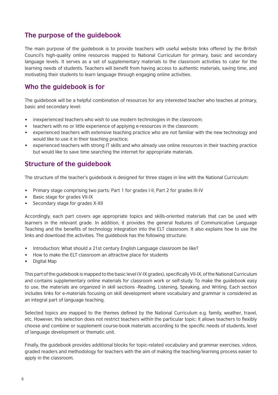#### **The purpose of the guidebook**

The main purpose of the guidebook is to provide teachers with useful website links offered by the British Council's high-quality online resources mapped to National Curriculum for primary, basic and secondary language levels. It serves as a set of supplementary materials to the classroom activities to cater for the learning needs of students. Teachers will benefit from having access to authentic materials, saving time, and motivating their students to learn language through engaging online activities.

#### **Who the guidebook is for**

The guidebook will be a helpful combination of resources for any interested teacher who teaches at primary, basic and secondary level:

- inexperienced teachers who wish to use modern technologies in the classroom;
- teachers with no or little experience of applying e-resources in the classroom;
- experienced teachers with extensive teaching practice who are not familiar with the new technology and would like to use it in their teaching practice;
- experienced teachers with strong IT skills and who already use online resources in their teaching practice but would like to save time searching the internet for appropriate materials.

#### **Structure of the guidebook**

The structure of the teacher's guidebook is designed for three stages in line with the National Curriculum:

- Primary stage comprising two parts: Part 1 for grades I-II, Part 2 for grades III-IV
- Basic stage for grades VII-IX
- Secondary stage for grades X-XII

Accordingly, each part covers age appropriate topics and skills-oriented materials that can be used with learners in the relevant grade. In addition, it provides the general features of Communicative Language Teaching and the benefits of technology integration into the ELT classroom. It also explains how to use the links and download the activities. The guidebook has the following structure:

- Introduction: What should a 21st century English Language classroom be like?
- How to make the ELT classroom an attractive place for students
- Digital Map

This part of the guidebook is mapped to the basic level (V-IX grades), specifically VII-IX, of the National Curriculum and contains supplementary online materials for classroom work or self-study. To make the guidebook easy to use, the materials are organized in skill sections -Reading, Listening, Speaking, and Writing. Each section includes links for e-materials focusing on skill development where vocabulary and grammar is considered as an integral part of language teaching.

Selected topics are mapped to the themes defined by the National Curriculum e.g. family, weather, travel, etc. However, this selection does not restrict teachers within the particular topic: it allows teachers to flexibly choose and combine or supplement course-book materials according to the specific needs of students, level of language development or thematic unit.

Finally, the guidebook provides additional blocks for topic-related vocabulary and grammar exercises, videos, graded readers and methodology for teachers with the aim of making the teaching/learning process easier to apply in the classroom.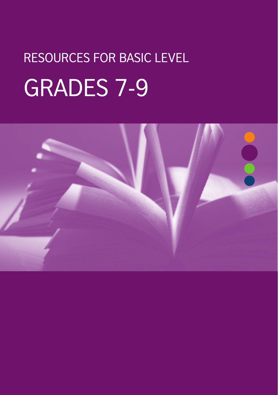# RESOURCES FOR BASIC LEVEL GRADES 7-9

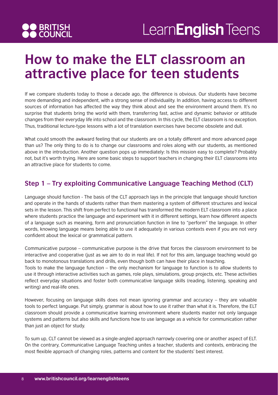

#### **How to make the ELT classroom an attractive place for teen students**

If we compare students today to those a decade ago, the difference is obvious. Our students have become more demanding and independent, with a strong sense of individuality. In addition, having access to different sources of information has affected the way they think about and see the environment around them. It's no surprise that students bring the world with them, transferring fast, active and dynamic behavior or attitude changes from their everyday life into school and the classroom. In this cycle, the ELT classroom is no exception. Thus, traditional lecture-type lessons with a lot of translation exercises have become obsolete and dull.

What could smooth the awkward feeling that our students are on a totally different and more advanced page than us? The only thing to do is to change our classrooms and roles along with our students, as mentioned above in the introduction. Another question pops up immediately: Is this mission easy to complete? Probably not, but it's worth trying. Here are some basic steps to support teachers in changing their ELT classrooms into an attractive place for students to come.

#### **Step 1 – Try exploiting Communicative Language Teaching Method (CLT)**

Language should function - The basis of the CLT approach lays in the principle that language should function and operate in the hands of students rather than them mastering a system of different structures and lexical sets in the lesson. This shift from perfect to functional has transformed the modern ELT classroom into a place where students practice the language and experiment with it in different settings, learn how different aspects of a language such as meaning, form and pronunciation function in line to "perform" the language. In other words, knowing language means being able to use it adequately in various contexts even if you are not very confident about the lexical or grammatical pattern.

Communicative purpose – communicative purpose is the drive that forces the classroom environment to be interactive and cooperative (just as we aim to do in real life). If not for this aim, language teaching would go back to monotonous translations and drills, even though both can have their place in teaching.

Tools to make the language function – the only mechanism for language to function is to allow students to use it through interactive activities such as games, role plays, simulations, group projects, etc. These activities reflect everyday situations and foster both communicative language skills (reading, listening, speaking and writing) and real-life ones.

However, focusing on language skills does not mean ignoring grammar and accuracy – they are valuable tools to perfect language. Put simply, grammar is about how to use it rather than what it is. Therefore, the ELT classroom should provide a communicative learning environment where students master not only language systems and patterns but also skills and functions how to use language as a vehicle for communication rather than just an object for study.

To sum up, CLT cannot be viewed as a single-angled approach narrowly covering one or another aspect of ELT. On the contrary, Communicative Language Teaching unites a teacher, students and contexts, embracing the most flexible approach of changing roles, patterns and content for the students' best interest.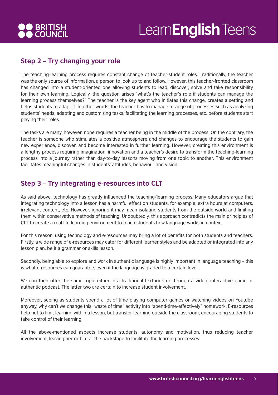

#### **Step 2 – Try changing your role**

The teaching-learning process requires constant change of teacher-student roles. Traditionally, the teacher was the only source of information, a person to look up to and follow. However, this teacher-fronted classroom has changed into a student-oriented one allowing students to lead, discover, solve and take responsibility for their own learning. Logically, the question arises "what's the teacher's role if students can manage the learning process themselves?" The teacher is the key agent who initiates this change, creates a setting and helps students to adapt it. In other words, the teacher has to manage a range of processes such as analyzing students' needs, adapting and customizing tasks, facilitating the learning processes, etc. before students start playing their roles.

The tasks are many, however, none requires a teacher being in the middle of the process. On the contrary, the teacher is someone who stimulates a positive atmosphere and changes to encourage the students to gain new experience, discover, and become interested in further learning. However, creating this environment is a lengthy process requiring imagination, innovation and a teacher's desire to transform the teaching-learning process into a journey rather than day-to-day lessons moving from one topic to another. This environment facilitates meaningful changes in students' attitudes, behaviour and vision.

#### **Step 3 – Try integrating e-resources into CLT**

As said above, technology has greatly influenced the teaching/learning process. Many educators argue that integrating technology into a lesson has a harmful effect on students, for example, extra hours at computers, irrelevant content, etc. However, ignoring it may mean isolating students from the outside world and limiting them within conservative methods of teaching. Undoubtedly, this approach contradicts the main principles of CLT to create a real life learning environment to teach students how language works in context.

For this reason, using technology and e-resources may bring a lot of benefits for both students and teachers. Firstly, a wide range of e-resources may cater for different learner styles and be adapted or integrated into any lesson plan, be it a grammar or skills lesson.

Secondly, being able to explore and work in authentic language is highly important in language teaching – this is what e-resources can guarantee, even if the language is graded to a certain level.

We can then offer the same topic either in a traditional textbook or through a video, interactive game or authentic podcast. The latter two are certain to increase student involvement.

Moreover, seeing as students spend a lot of time playing computer games or watching videos on Youtube anyway, why can't we change this "waste of time" activity into "spend-time-effectively" homework. E-resources help not to limit learning within a lesson, but transfer learning outside the classroom, encouraging students to take control of their learning.

All the above-mentioned aspects increase students' autonomy and motivation, thus reducing teacher involvement, leaving her or him at the backstage to facilitate the learning processes.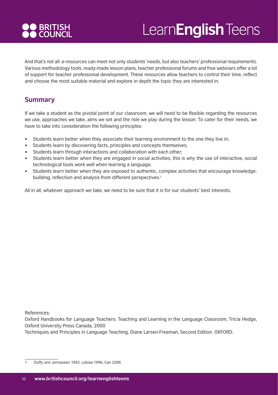# **DO BRITISH<br>DO COUNCIL**

# Learn**English** Teens

And that's not all: e-resources can meet not only students' needs, but also teachers' professional requirements. Various methodology tools, ready-made lesson plans, teacher professional forums and free webinars offer a lot of support for teacher professional development. These resources allow teachers to control their time, reflect and choose the most suitable material and explore in depth the topic they are interested in.

#### **Summary**

If we take a student as the pivotal point of our classroom, we will need to be flexible regarding the resources we use, approaches we take, aims we set and the role we play during the lesson. To cater for their needs, we have to take into consideration the following principles:

- Students learn better when they associate their learning environment to the one they live in;
- Students learn by discovering facts, principles and concepts themselves;
- Students learn through interactions and collaboration with each other;
- Students learn better when they are engaged in social activities, this is why the use of interactive, social technological tools work well when learning a language;
- Students learn better when they are exposed to authentic, complex activities that encourage knowledgebuilding, reflection and analysis from different perspectives.<sup>1</sup>

All in all, whatever approach we take, we need to be sure that it is for our students' best interests.

References:

Oxford Handbooks for Language Teachers: Teaching and Learning in the Language Classroom, Tricia Hedge, Oxford University Press Canada, 2000

Techniques and Principles in Language Teaching, Diane Larsen-Freeman, Second Edition. OXFORD.

<sup>1</sup> Duffy and Jonnaseen 1992, Lebow 1996, Can 2006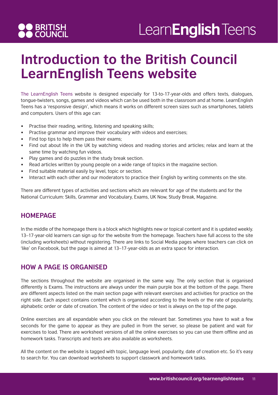# **OO BRITISH<br>AO COUNCIL**

### Learn**English** Teens

#### **Introduction to the British Council LearnEnglish Teens website**

The LearnEnglish Teens website is designed especially for 13-to-17-year-olds and offers texts, dialogues, tongue-twisters, songs, games and videos which can be used both in the classroom and at home. LearnEnglish Teens has a 'responsive design', which means it works on different screen sizes such as smartphones, tablets and computers. Users of this age can:

- Practise their reading, writing, listening and speaking skills;
- Practise grammar and improve their vocabulary with videos and exercises;
- Find top tips to help them pass their exams;
- Find out about life in the UK by watching videos and reading stories and articles; relax and learn at the same time by watching fun videos.
- Play games and do puzzles in the study break section.
- Read articles written by young people on a wide range of topics in the magazine section.
- Find suitable material easily by level, topic or section.
- Interact with each other and our moderators to practice their English by writing comments on the site.

There are different types of activities and sections which are relevant for age of the students and for the National Curriculum: Skills, Grammar and Vocabulary, Exams, UK Now, Study Break, Magazine.

#### **HOMEPAGE**

In the middle of the homepage there is a block which highlights new or topical content and it is updated weekly. 13–17-year-old learners can sign up for the website from the homepage. Teachers have full access to the site (including worksheets) without registering. There are links to Social Media pages where teachers can click on 'like' on Facebook, but the page is aimed at 13–17-year-olds as an extra space for interaction.

#### **HOW A PAGE IS ORGANISED**

The sections throughout the website are organised in the same way. The only section that is organised differently is Exams. The instructions are always under the main purple box at the bottom of the page. There are different aspects listed on the main section page with relevant exercises and activities for practice on the right side. Each aspect contains content which is organised according to the levels or the rate of popularity, alphabetic order or date of creation. The content of the video or text is always on the top of the page.

Online exercises are all expandable when you click on the relevant bar. Sometimes you have to wait a few seconds for the game to appear as they are pulled in from the server, so please be patient and wait for exercises to load. There are worksheet versions of all the online exercises so you can use them offline and as homework tasks. Transcripts and texts are also available as worksheets.

All the content on the website is tagged with topic, language level, popularity, date of creation etc. So it's easy to search for. You can download worksheets to support classwork and homework tasks.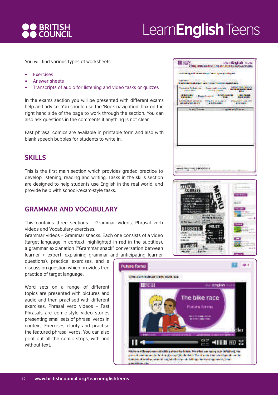

You will find various types of worksheets:

- **Exercises**
- Answer sheets
- Transcripts of audio for listening and video tasks or quizzes

In the exams section you will be presented with different exams help and advice. You should use the 'Book navigation' box on the right hand side of the page to work through the section. You can also ask questions in the comments if anything is not clear.

Fast phrasal comics are available in printable form and also with blank speech bubbles for students to write in.

#### **SKILLS**

This is the first main section which provides graded practice to develop listening, reading and writing. Tasks in the skills section are designed to help students use English in the real world, and provide help with school-/exam-style tasks.

#### **GRAMMAR AND VOCABULARY**

This contains three sections – Grammar videos, Phrasal verb videos and Vocabulary exercises.

Grammar videos – Grammar snacks: Each one consists of a video (target language in context, highlighted in red in the subtitles), a grammar explanation ("Grammar snack" conversation between learner + expert, explaining grammar and anticipating learner

questions), practice exercises, and a discussion question which provides free practice of target language.

Word sets on a range of different topics are presented with pictures and audio and then practised with different exercises. Phrasal verb videos – Fast Phrasals are comic-style video stories presenting small sets of phrasal verbs in context. Exercises clarify and practise the featured phrasal verbs. You can also print out all the comic strips, with and without text.





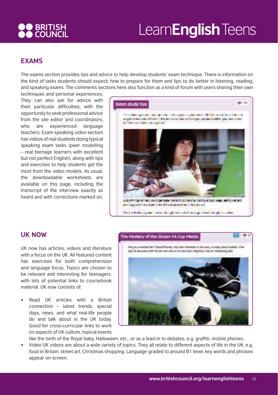# **OO BRITISH<br>AO COUNCIL**

# Learn**English** Teens

#### **EXAMS**

The exams section provides tips and advice to help develop students' exam technique. There is information on the kind of tasks students should expect; how to prepare for them and tips to do better in listening, reading, and speaking exams. The comments sections here also function as a kind of forum with users sharing their own

techniques and personal experiences. They can also ask for advice with their particular difficulties, with the opportunity to seek professional advice from the site editor and coordinators, who are experienced language teachers. Exam speaking video section has videos of real students doing typical speaking exam tasks (peer modelling – real teenage learners with excellent but not perfect English), along with tips and exercises to help students get the most from the video models. As usual, the downloadable worksheets are available on this page, including the transcript of the interview exactly as heard and with corrections marked on.



#### **UK NOW**

UK now has articles, videos and literature with a focus on the UK. All featured content has exercises for both comprehension and language focus. Topics are chosen to be relevant and interesting for teenagers, with lots of potential links to coursebook material. UK now consists of:

Read UK articles with a British connection – latest trends, special days, news, and what real-life people do and talk about in the UK today. Good for cross-curricular links to work on aspects of UK culture, topical events



- like the birth of the Royal baby, Halloween, etc., or as a lead-in to debates, e.g. graffiti, mobile phones.
- Video UK videos are about a wide variety of topics. They all relate to different aspects of life in the UK, e.g. food in Britain, street art, Christmas shopping. Language graded to around B1 level, key words and phrases appear on screen.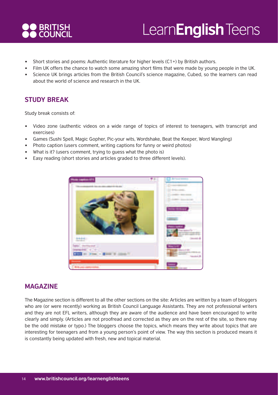

- Short stories and poems: Authentic literature for higher levels (C1+) by British authors.
- Film UK offers the chance to watch some amazing short films that were made by young people in the UK.
- Science UK brings articles from the British Council's science magazine, Cubed, so the learners can read about the world of science and research in the UK.

#### **STUDY BREAK**

Study break consists of:

- Video zone (authentic videos on a wide range of topics of interest to teenagers, with transcript and exercises)
- Games (Sushi Spell, Magic Gopher, Pic-your wits, Wordshake, Beat the Keeper, Word Wangling)
- Photo caption (users comment, writing captions for funny or weird photos)
- What is it? (users comment, trying to quess what the photo is)
- Easy reading (short stories and articles graded to three different levels).



#### **MAGAZINE**

The Magazine section is different to all the other sections on the site: Articles are written by a team of bloggers who are (or were recently) working as British Council Language Assistants. They are not professional writers and they are not EFL writers, although they are aware of the audience and have been encouraged to write clearly and simply. (Articles are not proofread and corrected as they are on the rest of the site, so there may be the odd mistake or typo.) The bloggers choose the topics, which means they write about topics that are interesting for teenagers and from a young person's point of view. The way this section is produced means it is constantly being updated with fresh, new and topical material.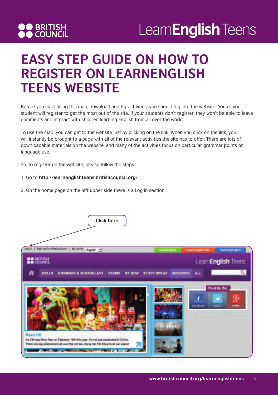

#### **EASY STEP GUIDE ON HOW TO REGISTER ON LEARNENGLISH TEENS WEBSITE**

Before you start using this map, download and try activities, you should log into the website. You or your student will register to get the most out of the site. If your students don't register, they won't be able to leave comments and interact with children learning English from all over the world.

To use the map, you can get to the website just by clicking on the link. When you click on the link, you will instantly be brought to a page with all of the relevant activities the site has to offer. There are lots of downloadable materials on the website, and many of the activities focus on particular grammar points or language use.

So, to register on the website, please follow the steps:

#### 1. Go to **http://learnenglishteens.britishcouncil.org/**

2. On the home page on the left upper side there is a Log in section:

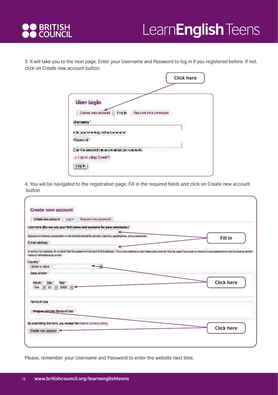

3. It will take you to the next page. Enter your Username and Password to log in if you registered before. If not, click on *Create new account button*.

|                                                           | <b>Click here</b> |
|-----------------------------------------------------------|-------------------|
|                                                           |                   |
| <b>User login</b>                                         |                   |
| Control MacAdolphia<br>des i<br>Paya university producers |                   |
|                                                           |                   |
| with them from magnitude that is at an an-                |                   |
| <b>Kiswan</b>                                             |                   |
| Inter the corrected that accompanies too registration     |                   |
| <b>Hop in using OpenID</b>                                |                   |
| <b>Last</b>                                               |                   |
|                                                           |                   |

4. You will be navigated to the registration page. Fill in the required fields and click on Create new account button

| <b>BUILDING CONTROLLERS</b><br><b>Create new account</b>                                                    |                                                                                                 |
|-------------------------------------------------------------------------------------------------------------|-------------------------------------------------------------------------------------------------|
|                                                                                                             |                                                                                                 |
| Cheate new bookunt : Log In How we can see und                                                              |                                                                                                 |
| ternario (De reit per paus fot) reine ded surmane for paus surranned.                                       |                                                                                                 |
| a are allowed bandwater a hat placed bines                                                                  | Fill in                                                                                         |
| <b>Burnet antimony</b>                                                                                      |                                                                                                 |
|                                                                                                             |                                                                                                 |
| All exclusion front Mini-particular and the party of this problems.<br>of the local contact and the station | The arming installation of matching and in about will drive the capital frame and rits sensors. |
| <b>County</b> *                                                                                             |                                                                                                 |
| 250mm and million                                                                                           |                                                                                                 |
| <b>Date of Link 1</b>                                                                                       |                                                                                                 |
|                                                                                                             | <b>Click here</b>                                                                               |
| No. 5 11 11 11 11 3                                                                                         |                                                                                                 |
|                                                                                                             |                                                                                                 |
| <b>The off Lines</b>                                                                                        |                                                                                                 |
|                                                                                                             |                                                                                                 |
| <b>Supervision for Service Unit</b>                                                                         |                                                                                                 |
| By scentifing the born you adopt the Editor; yriving policy.                                                |                                                                                                 |
|                                                                                                             | <b>Click here</b>                                                                               |
| Drawing Harry Antony of                                                                                     |                                                                                                 |
|                                                                                                             |                                                                                                 |
|                                                                                                             |                                                                                                 |

Please, remember your Username and Password to enter the website next time.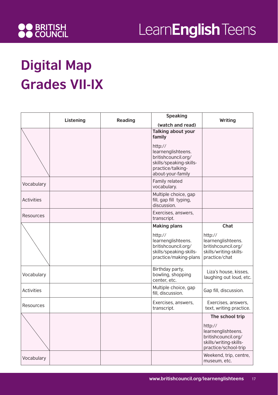

# **Digital Map Grades VII-IX**

|                   | Listening | <b>Reading</b> | <b>Speaking</b><br>(watch and read)                                                                                       | Writing                                                                                                |
|-------------------|-----------|----------------|---------------------------------------------------------------------------------------------------------------------------|--------------------------------------------------------------------------------------------------------|
|                   |           |                | <b>Talking about your</b><br>family                                                                                       |                                                                                                        |
|                   |           |                | http://<br>learnenglishteens.<br>britishcouncil.org/<br>skills/speaking-skills-<br>practice/talking-<br>about-your-family |                                                                                                        |
| Vocabulary        |           |                | Family related<br>vocabulary.                                                                                             |                                                                                                        |
| <b>Activities</b> |           |                | Multiple choice, gap<br>fill, gap fill typing,<br>discussion.                                                             |                                                                                                        |
| Resources         |           |                | Exercises, answers,<br>transcript.                                                                                        |                                                                                                        |
|                   |           |                | <b>Making plans</b>                                                                                                       | <b>Chat</b>                                                                                            |
|                   |           |                | http://<br>learnenglishteens.<br>britishcouncil.org/<br>skills/speaking-skills-<br>practice/making-plans                  | http://<br>learnenglishteens.<br>britishcouncil.org/<br>skills/writing-skills-<br>practice/chat        |
| Vocabulary        |           |                | Birthday party,<br>bowling, shopping<br>center, etc.                                                                      | Liza's house, kisses,<br>laughing out loud, etc.                                                       |
| <b>Activities</b> |           |                | Multiple choice, gap<br>fill, discussion.                                                                                 | Gap fill, discussion.                                                                                  |
| Resources         |           |                | Exercises, answers,<br>transcript.                                                                                        | Exercises, answers,<br>text, writing practice.                                                         |
|                   |           |                |                                                                                                                           | The school trip                                                                                        |
|                   |           |                |                                                                                                                           | http://<br>learnenglishteens.<br>britishcouncil.org/<br>skills/writing-skills-<br>practice/school-trip |
| Vocabulary        |           |                |                                                                                                                           | Weekend, trip, centre,<br>museum, etc.                                                                 |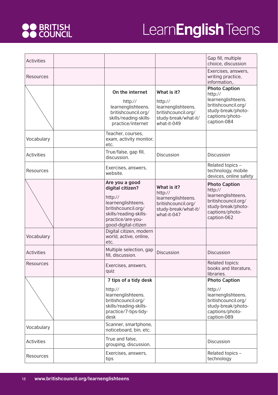# **OO** BRITISH<br>**OO** COUNCIL

| <b>Activities</b> |                                                                                                                                                                   |                                                                                                            | Gap fill, multiple<br>choice, discussion                                                                                             |
|-------------------|-------------------------------------------------------------------------------------------------------------------------------------------------------------------|------------------------------------------------------------------------------------------------------------|--------------------------------------------------------------------------------------------------------------------------------------|
| Resources         |                                                                                                                                                                   |                                                                                                            | Exercises, answers,<br>writing practice,<br>information,.                                                                            |
|                   | On the internet<br>http://<br>learnenglishteens.<br>britishcouncil.org/<br>skills/reading-skills-<br>practice/internet                                            | What is it?<br>http://<br>learnenglishteens.<br>britishcouncil.org/<br>study-break/what-it/<br>what-it-049 | <b>Photo Caption</b><br>http://<br>learnenglishteens.<br>britishcouncil.org/<br>study-break/photo-<br>captions/photo-<br>caption-084 |
| Vocabulary        | Teacher, courses,<br>exam, activity monitor,<br>etc.                                                                                                              |                                                                                                            |                                                                                                                                      |
| <b>Activities</b> | True/false, gap fill,<br>discussion.                                                                                                                              | Discussion                                                                                                 | Discussion                                                                                                                           |
| Resources         | Exercises, answers,<br>website.                                                                                                                                   |                                                                                                            | Related topics -<br>technology, mobile<br>devices, online safety                                                                     |
|                   | Are you a good<br>digital citizen?<br>http://<br>learnenglishteens.<br>britishcouncil.org/<br>skills/reading-skills-<br>practice/are-you-<br>good-digital-citizen | What is it?<br>http://<br>learnenglishteens.<br>britishcouncil.org/<br>study-break/what-it/<br>what-it-047 | <b>Photo Caption</b><br>http://<br>learnenglishteens.<br>britishcouncil.org/<br>study-break/photo-<br>captions/photo-<br>caption-062 |
| Vocabulary        | Digital citizen, modern<br>world, active, online,<br>etc.                                                                                                         |                                                                                                            |                                                                                                                                      |
| <b>Activities</b> | Multiple selection, gap<br>fill, discussion.                                                                                                                      | <b>Discussion</b>                                                                                          | <b>Discussion</b>                                                                                                                    |
| Resources         | Exercises, answers,<br>quiz                                                                                                                                       |                                                                                                            | Related topics:<br>books and literature,<br>libraries.                                                                               |
|                   | 7 tips of a tidy desk                                                                                                                                             |                                                                                                            | <b>Photo Caption</b>                                                                                                                 |
|                   | http://<br>learnenglishteens.<br>britishcouncil.org/<br>skills/reading-skills-<br>practice/7-tips-tidy-<br>desk                                                   |                                                                                                            | http://<br>learnenglishteens.<br>britishcouncil.org/<br>study-break/photo-<br>captions/photo-<br>caption-089                         |
| Vocabulary        | Scanner, smartphone,<br>noticeboard, bin, etc.                                                                                                                    |                                                                                                            |                                                                                                                                      |
| <b>Activities</b> | True and false,<br>grouping, discussion.                                                                                                                          |                                                                                                            | Discussion                                                                                                                           |
| Resources         | Exercises, answers,<br>tips                                                                                                                                       |                                                                                                            | Related topics -<br>technology                                                                                                       |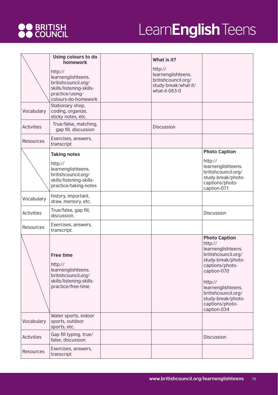# **OO** BRITISH<br>**OO** COUNCIL

|                   | Using colours to do<br>homework                                                                                            | What is it?                                                                                   |                                                                                                                                                                                                                                                      |
|-------------------|----------------------------------------------------------------------------------------------------------------------------|-----------------------------------------------------------------------------------------------|------------------------------------------------------------------------------------------------------------------------------------------------------------------------------------------------------------------------------------------------------|
|                   | http://<br>learnenglishteens.<br>britishcouncil.org/<br>skills/listening-skills-<br>practice/using-<br>colours-do-homework | http://<br>learnenglishteens.<br>britishcouncil.org/<br>study-break/what-it/<br>what-it-063-0 |                                                                                                                                                                                                                                                      |
| Vocabulary        | Stationary shop,<br>coding, organize,<br>sticky notes, etc.                                                                |                                                                                               |                                                                                                                                                                                                                                                      |
| <b>Activities</b> | True/false, matching,<br>gap fill, discussion                                                                              | <b>Discussion</b>                                                                             |                                                                                                                                                                                                                                                      |
| <b>Resources</b>  | Exercises, answers,<br>transcript                                                                                          |                                                                                               |                                                                                                                                                                                                                                                      |
|                   | <b>Taking notes</b>                                                                                                        |                                                                                               | <b>Photo Caption</b><br>http://                                                                                                                                                                                                                      |
|                   | http://<br>learnenglishteens.<br>britishcouncil.org/<br>skills/listening-skills-<br>practice/taking-notes                  |                                                                                               | learnenglishteens.<br>britishcouncil.org/<br>study-break/photo-<br>captions/photo-<br>caption-071                                                                                                                                                    |
| Vocabulary        | history, important,<br>draw, memory, etc.                                                                                  |                                                                                               |                                                                                                                                                                                                                                                      |
| <b>Activities</b> | True/false, gap fill,<br>discussion.                                                                                       |                                                                                               | Discussion                                                                                                                                                                                                                                           |
| Resources         | Exercises, answers,<br>transcript.                                                                                         |                                                                                               |                                                                                                                                                                                                                                                      |
|                   | <b>Free time</b><br>http://<br>learnenglishteens.<br>britishcouncil.org/<br>skills/listening-skills-<br>practice/free-time |                                                                                               | <b>Photo Caption</b><br>http://<br>learnenglishteens.<br>britishcouncil.org/<br>study-break/photo-<br>captions/photo-<br>caption-070<br>http://<br>learnenglishteens.<br>britishcouncil.org/<br>study-break/photo-<br>captions/photo-<br>caption-034 |
| Vocabulary        | Water sports, indoor<br>sports, outdoor<br>sports, etc.                                                                    |                                                                                               |                                                                                                                                                                                                                                                      |
| <b>Activities</b> | Gap fill typing, true/<br>false, discussion.                                                                               |                                                                                               | Discussion                                                                                                                                                                                                                                           |
| Resources         | Exercises, answers,<br>transcript                                                                                          |                                                                                               |                                                                                                                                                                                                                                                      |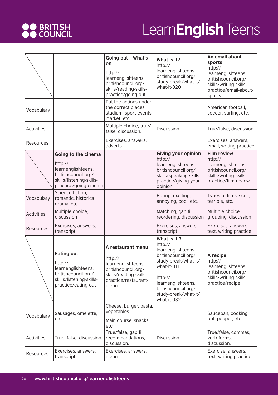

|                   |                                                                                                                                  | Going out - What's<br>on<br>http://<br>learnenglishteens.<br>britishcouncil.org/<br>skills/reading-skills-<br>practice/going-out    | What is it?<br>http://<br>learnenglishteens.<br>britishcouncil.org/<br>study-break/what-it/<br>what-it-020                                                                                                | An email about<br>sports<br>http://<br>learnenglishteens.<br>britishcouncil.org/<br>skills/writing-skills-<br>practice/email-about-<br>sports |
|-------------------|----------------------------------------------------------------------------------------------------------------------------------|-------------------------------------------------------------------------------------------------------------------------------------|-----------------------------------------------------------------------------------------------------------------------------------------------------------------------------------------------------------|-----------------------------------------------------------------------------------------------------------------------------------------------|
| Vocabulary        |                                                                                                                                  | Put the actions under<br>the correct places,<br>stadium, sport events,<br>market, etc.                                              |                                                                                                                                                                                                           | American football,<br>soccer, surfing, etc.                                                                                                   |
| <b>Activities</b> |                                                                                                                                  | Multiple choice, true/<br>false, discussion.                                                                                        | Discussion                                                                                                                                                                                                | True/false, discussion.                                                                                                                       |
| Resources         |                                                                                                                                  | Exercises, answers,<br>adverts                                                                                                      |                                                                                                                                                                                                           | Exercises, answers,<br>email, writing practice                                                                                                |
|                   | Going to the cinema<br>http://<br>learnenglishteens.<br>britishcouncil.org/<br>skills/listening-skills-<br>practice/going-cinema |                                                                                                                                     | <b>Giving your opinion</b><br>http://<br>learnenglishteens.<br>britishcouncil.org/<br>skills/speaking-skills-<br>practice/giving-your-<br>opinion                                                         | <b>Film review</b><br>http://<br>learnenglishteens.<br>britishcouncil.org/<br>skills/writing-skills-<br>practice/film-review                  |
| Vocabulary        | Science fiction,<br>romantic, historical<br>drama, etc.                                                                          |                                                                                                                                     | Boring, exciting,<br>annoying, cool, etc.                                                                                                                                                                 | Types of films, sci-fi,<br>terrible, etc.                                                                                                     |
| Activities        | Multiple choice,<br>discussion                                                                                                   |                                                                                                                                     | Matching, gap fill,<br>reordering, discussion                                                                                                                                                             | Multiple choice,<br>grouping, discussion                                                                                                      |
| Resources         | Exercises, answers,<br>transcript                                                                                                |                                                                                                                                     | Exercises, answers,<br>transcript                                                                                                                                                                         | Exercises, answers,<br>text, writing practice                                                                                                 |
|                   | <b>Eating out</b><br>http://<br>learnenglishteens.<br>britishcouncil.org/<br>skills/listening-skills-<br>practice/eating-out     | A restaurant menu<br>http://<br>learnenglishteens.<br>britishcouncil.org/<br>skills/reading-skills-<br>practice/restaurant-<br>menu | What is it?<br>http://<br>learnenglishteens.<br>britishcouncil.org/<br>study-break/what-it/<br>what-it-011<br>http://<br>learnenglishteens.<br>britishcouncil.org/<br>study-break/what-it/<br>what-it-032 | A recipe<br>http://<br>learnenglishteens.<br>britishcouncil.org/<br>skills/writing-skills-<br>practice/recipe                                 |
| Vocabulary        | Sausages, omelette,<br>etc.                                                                                                      | Cheese, burger, pasta,<br>vegetables<br>Main course, snacks,<br>etc.                                                                |                                                                                                                                                                                                           | Saucepan, cooking<br>pot, pepper, etc.                                                                                                        |
| <b>Activities</b> | True, false, discussion.                                                                                                         | True/false, gap fill,<br>recommandations,<br>discussion.                                                                            | Discussion.                                                                                                                                                                                               | True/false, commas,<br>verb forms,<br>discussion.                                                                                             |
| Resources         | Exercises, answers,<br>transcript.                                                                                               | Exercises, answers,<br>menu                                                                                                         |                                                                                                                                                                                                           | Exercise, answers,<br>text, writing practice.                                                                                                 |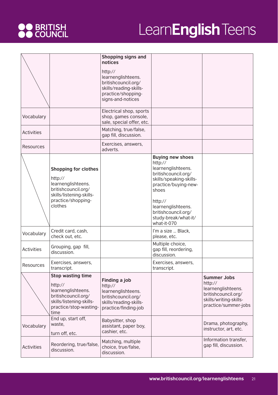# **OO** BRITISH<br>**OO** COUNCIL

|                   |                                                                                                                                                  | Shopping signs and<br>notices                                                                                             |                                                                                                                                                                                                                                            |                                                                                                                              |
|-------------------|--------------------------------------------------------------------------------------------------------------------------------------------------|---------------------------------------------------------------------------------------------------------------------------|--------------------------------------------------------------------------------------------------------------------------------------------------------------------------------------------------------------------------------------------|------------------------------------------------------------------------------------------------------------------------------|
|                   |                                                                                                                                                  | http://<br>learnenglishteens.<br>britishcouncil.org/<br>skills/reading-skills-<br>practice/shopping-<br>signs-and-notices |                                                                                                                                                                                                                                            |                                                                                                                              |
| Vocabulary        |                                                                                                                                                  | Electrical shop, sports<br>shop, games console,<br>sale, special offer, etc.                                              |                                                                                                                                                                                                                                            |                                                                                                                              |
| <b>Activities</b> |                                                                                                                                                  | Matching, true/false,<br>gap fill, discussion.                                                                            |                                                                                                                                                                                                                                            |                                                                                                                              |
| Resources         |                                                                                                                                                  | Exercises, answers,<br>adverts.                                                                                           |                                                                                                                                                                                                                                            |                                                                                                                              |
|                   | <b>Shopping for clothes</b><br>http://<br>learnenglishteens.<br>britishcouncil.org/<br>skills/listening-skills-<br>practice/shopping-<br>clothes |                                                                                                                           | <b>Buying new shoes</b><br>http://<br>learnenglishteens.<br>britishcouncil.org/<br>skills/speaking-skills-<br>practice/buying-new-<br>shoes<br>http://<br>learnenglishteens.<br>britishcouncil.org/<br>study-break/what-it/<br>what-it-070 |                                                                                                                              |
| Vocabulary        | Credit card, cash,<br>check out, etc.                                                                                                            |                                                                                                                           | I'm a size  Black,<br>please, etc.                                                                                                                                                                                                         |                                                                                                                              |
| <b>Activities</b> | Grouping, gap fill,<br>discussion.                                                                                                               |                                                                                                                           | Multiple choice,<br>gap fill, reordering,<br>discussion.                                                                                                                                                                                   |                                                                                                                              |
| Resources         | Exercises, answers,<br>transcript.                                                                                                               |                                                                                                                           | Exercises, answers,<br>transcript.                                                                                                                                                                                                         |                                                                                                                              |
|                   | <b>Stop wasting time</b><br>http://<br>learnenglishteens.<br>britishcouncil.org/<br>skills/listening-skills-<br>practice/stop-wasting-<br>time   | Finding a job<br>http://<br>learnenglishteens.<br>britishcouncil.org/<br>skills/reading-skills-<br>practice/finding-job   |                                                                                                                                                                                                                                            | <b>Summer Jobs</b><br>http://<br>learnenglishteens.<br>britishcouncil.org/<br>skills/writing-skills-<br>practice/summer-jobs |
| Vocabulary        | End up, start off,<br>waste,<br>turn off, etc.                                                                                                   | Babysitter, shop<br>assistant, paper boy,<br>cashier, etc.                                                                |                                                                                                                                                                                                                                            | Drama, photography,<br>instructor, art, etc.                                                                                 |
| <b>Activities</b> | Reordering, true/false,<br>discussion.                                                                                                           | Matching, multiple<br>choice, true/false,<br>discussion.                                                                  |                                                                                                                                                                                                                                            | Information transfer,<br>gap fill, discussion.                                                                               |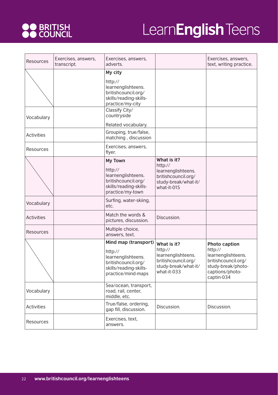

| Resources         | Exercises, answers,<br>transcript. | Exercises, answers,<br>adverts.                                                                                              |                                                                                                            | Exercises, answers,<br>text, writing practice.                                                                                      |
|-------------------|------------------------------------|------------------------------------------------------------------------------------------------------------------------------|------------------------------------------------------------------------------------------------------------|-------------------------------------------------------------------------------------------------------------------------------------|
|                   |                                    | My city<br>http://<br>learnenglishteens.<br>britishcouncil.org/<br>skills/reading-skills-<br>practice/my-city                |                                                                                                            |                                                                                                                                     |
| Vocabulary        |                                    | Classify City/<br>countryside<br>Related vocabulary.                                                                         |                                                                                                            |                                                                                                                                     |
| <b>Activities</b> |                                    | Grouping, true/false,<br>matching, discussion                                                                                |                                                                                                            |                                                                                                                                     |
| Resources         |                                    | Exercises, answers,<br>flyer.                                                                                                |                                                                                                            |                                                                                                                                     |
|                   |                                    | <b>My Town</b><br>http://<br>learnenglishteens.<br>britishcouncil.org/<br>skills/reading-skills-<br>practice/my-town         | What is it?<br>http://<br>learnenglishteens.<br>britishcouncil.org/<br>study-break/what-it/<br>what-it-015 |                                                                                                                                     |
| Vocabulary        |                                    | Surfing, water-skiing,<br>etc.                                                                                               |                                                                                                            |                                                                                                                                     |
| <b>Activities</b> |                                    | Match the words &<br>pictures, discussion.                                                                                   | Discussion.                                                                                                |                                                                                                                                     |
| Resources         |                                    | Multiple choice,<br>answers, text.                                                                                           |                                                                                                            |                                                                                                                                     |
|                   |                                    | Mind map (transport)<br>http://<br>learnenglishteens.<br>britishcouncil.org/<br>skills/reading-skills-<br>practice/mind-maps | What is it?<br>http://<br>learnenglishteens.<br>britishcouncil.org/<br>study-break/what-it/<br>what-it-033 | <b>Photo caption</b><br>http://<br>learnenglishteens.<br>britishcouncil.org/<br>study-break/photo-<br>captions/photo-<br>captin-034 |
| Vocabulary        |                                    | Sea/ocean, transport,<br>road, rail, center,<br>middle, etc.                                                                 |                                                                                                            |                                                                                                                                     |
| <b>Activities</b> |                                    | True/false, ordering,<br>gap fill, discussion.                                                                               | Discussion.                                                                                                | Discussion.                                                                                                                         |
| Resources         |                                    | Exercises, text,<br>answers.                                                                                                 |                                                                                                            |                                                                                                                                     |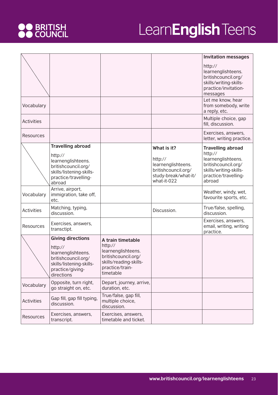# **OO** BRITISH<br>**OO** COUNCIL

|                   |                                                                                                                                                |                                                                                                                                     |                                                                                                            | <b>Invitation messages</b>                                                                                                                   |
|-------------------|------------------------------------------------------------------------------------------------------------------------------------------------|-------------------------------------------------------------------------------------------------------------------------------------|------------------------------------------------------------------------------------------------------------|----------------------------------------------------------------------------------------------------------------------------------------------|
|                   |                                                                                                                                                |                                                                                                                                     |                                                                                                            | http://<br>learnenglishteens.<br>britishcouncil.org/<br>skills/writing-skills-<br>practice/invitation-<br>messages                           |
| Vocabulary        |                                                                                                                                                |                                                                                                                                     |                                                                                                            | Let me know, hear<br>from somebody, write<br>a reply, etc.                                                                                   |
| <b>Activities</b> |                                                                                                                                                |                                                                                                                                     |                                                                                                            | Multiple choice, gap<br>fill, discussion.                                                                                                    |
| Resources         |                                                                                                                                                |                                                                                                                                     |                                                                                                            | Exercises, answers,<br>letter, writing practice.                                                                                             |
|                   | <b>Travelling abroad</b><br>http://<br>learnenglishteens.<br>britishcouncil.org/<br>skills/listening-skills-<br>practice/travelling-<br>abroad |                                                                                                                                     | What is it?<br>http://<br>learnenglishteens.<br>britishcouncil.org/<br>study-break/what-it/<br>what-it-022 | <b>Travelling abroad</b><br>http://<br>learnenglishteens.<br>britishcouncil.org/<br>skills/writing-skills-<br>practice/travelling-<br>abroad |
| Vocabulary        | Arrive, airport,<br>immigration, take off,<br>etc.                                                                                             |                                                                                                                                     |                                                                                                            | Weather, windy, wet,<br>favourite sports, etc.                                                                                               |
| <b>Activities</b> | Matching, typing,<br>discussion.                                                                                                               |                                                                                                                                     | Discussion.                                                                                                | True/false, spelling,<br>discussion.                                                                                                         |
| Resources         | Exercises, answers,<br>transctipt.                                                                                                             |                                                                                                                                     |                                                                                                            | Exercises, answers,<br>email, writing, writing<br>practice.                                                                                  |
|                   | <b>Giving directions</b><br>http://<br>learnenglishteens.<br>britishcouncil.org/<br>skills/listening-skills-<br>practice/giving-<br>directions | A train timetable<br>http://<br>learnenglishteens.<br>britishcouncil.org/<br>skills/reading-skills-<br>practice/train-<br>timetable |                                                                                                            |                                                                                                                                              |
| Vocabulary        | Opposite, turn right,<br>go straight on, etc.                                                                                                  | Depart, journey, arrive,<br>duration, etc.                                                                                          |                                                                                                            |                                                                                                                                              |
| <b>Activities</b> | Gap fill, gap fill typing,<br>discussion.                                                                                                      | True/false, gap fill,<br>multiple choice,<br>discussion.                                                                            |                                                                                                            |                                                                                                                                              |
| Resources         | Exercises, answers,<br>transcript.                                                                                                             | Exercises, answers,<br>timetable and ticket.                                                                                        |                                                                                                            |                                                                                                                                              |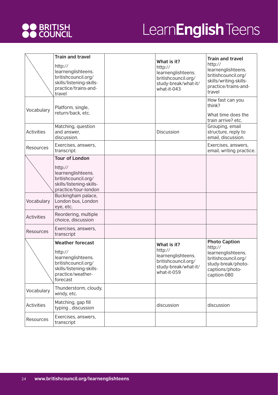

|                   | <b>Train and travel</b><br>http://<br>learnenglishteens.<br>britishcouncil.org/<br>skills/listening-skills-<br>practice/trains-and-<br>travel | What is it?<br>http://<br>learnenglishteens.<br>britishcouncil.org/<br>study-break/what-it/<br>what-it-043 | <b>Train and travel</b><br>http://<br>learnenglishteens.<br>britishcouncil.org/<br>skills/writing-skills-<br>practice/trains-and-<br>travel |
|-------------------|-----------------------------------------------------------------------------------------------------------------------------------------------|------------------------------------------------------------------------------------------------------------|---------------------------------------------------------------------------------------------------------------------------------------------|
| Vocabulary        | Platform, single,<br>return/back, etc.                                                                                                        |                                                                                                            | How fast can you<br>think?<br>What time does the<br>train arrive? etc.                                                                      |
| <b>Activities</b> | Matching, question<br>and answer,<br>discussion.                                                                                              | Discussion                                                                                                 | Grouping, email<br>structure, reply to<br>email, discussion.                                                                                |
| Resources         | Exercises, answers,<br>transcript.                                                                                                            |                                                                                                            | Exercises, answers,<br>email, writing practice.                                                                                             |
|                   | <b>Tour of London</b><br>http://<br>learnenglishteens.<br>britishcouncil.org/<br>skills/listening-skills-<br>practice/tour-london             |                                                                                                            |                                                                                                                                             |
| Vocabulary        | Buckingham palace,<br>London bus, London<br>eye, etc.                                                                                         |                                                                                                            |                                                                                                                                             |
| <b>Activities</b> | Reordering, multiple<br>choice, discussion                                                                                                    |                                                                                                            |                                                                                                                                             |
| Resources         | Exercises, answers,<br>transcript                                                                                                             |                                                                                                            |                                                                                                                                             |
|                   | <b>Weather forecast</b><br>http://<br>learnenglishteens.<br>britishcouncil.org/<br>skills/listening-skills-<br>practice/weather-<br>forecast  | What is it?<br>http://<br>learnenglishteens.<br>britishcouncil.org/<br>study-break/what-it/<br>what-it-059 | <b>Photo Caption</b><br>http://<br>learnenglishteens.<br>britishcouncil.org/<br>study-break/photo-<br>captions/photo-<br>caption-080        |
| Vocabulary        | Thunderstorm, cloudy,<br>windy, etc.                                                                                                          |                                                                                                            |                                                                                                                                             |
| Activities        | Matching, gap fill<br>typing, discussion                                                                                                      | discussion                                                                                                 | discussion                                                                                                                                  |
| Resources         | Exercises, answers,<br>transcript                                                                                                             |                                                                                                            |                                                                                                                                             |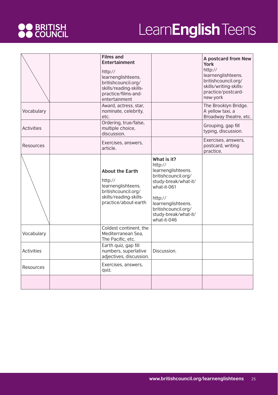# **OO** BRITISH<br>**OO** COUNCIL

|                   | <b>Films and</b><br><b>Entertainment</b><br>http://<br>learnenglishteens.<br>britishcouncil.org/<br>skills/reading-skills-<br>practice/films-and-<br>entertainment |                                                                                                                                                                                                           | A postcard from New<br><b>York</b><br>http://<br>learnenglishteens.<br>britishcouncil.org/<br>skills/writing-skills-<br>practice/postcard-<br>new-york |
|-------------------|--------------------------------------------------------------------------------------------------------------------------------------------------------------------|-----------------------------------------------------------------------------------------------------------------------------------------------------------------------------------------------------------|--------------------------------------------------------------------------------------------------------------------------------------------------------|
| Vocabulary        | Award, actress, star,<br>nominate, celebrity,<br>etc.                                                                                                              |                                                                                                                                                                                                           | The Brooklyn Bridge.<br>A yellow taxi, a<br>Broadway theatre, etc.                                                                                     |
| <b>Activities</b> | Ordering, true/false,<br>multiple choice,<br>discussion.                                                                                                           |                                                                                                                                                                                                           | Grouping, gap fill<br>typing, discussion.                                                                                                              |
| Resources         | Exercises, answers,<br>article.                                                                                                                                    |                                                                                                                                                                                                           | Exercises, answers,<br>postcard, writing<br>practice.                                                                                                  |
|                   | <b>About the Earth</b><br>http://<br>learnenglishteens.<br>britishcouncil.org/<br>skills/reading-skills-<br>practice/about-earth                                   | What is it?<br>http://<br>learnenglishteens.<br>britishcouncil.org/<br>study-break/what-it/<br>what-it-061<br>http://<br>learnenglishteens.<br>britishcouncil.org/<br>study-break/what-it/<br>what-it-046 |                                                                                                                                                        |
| Vocabulary        | Coldest continent, the<br>Mediterranean Sea,<br>The Pacific, etc.                                                                                                  |                                                                                                                                                                                                           |                                                                                                                                                        |
| <b>Activities</b> | Earth quiz, gap fill<br>numbers, superlative<br>adjectives, discussion.                                                                                            | Discussion.                                                                                                                                                                                               |                                                                                                                                                        |
| Resources         | Exercises, answers,<br>quiz.                                                                                                                                       |                                                                                                                                                                                                           |                                                                                                                                                        |
|                   |                                                                                                                                                                    |                                                                                                                                                                                                           |                                                                                                                                                        |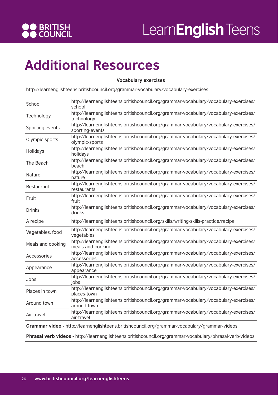

#### **Additional Resources**

| <b>Vocabulary exercises</b>                                                                              |                                                                                                           |  |
|----------------------------------------------------------------------------------------------------------|-----------------------------------------------------------------------------------------------------------|--|
| http://learnenglishteens.britishcouncil.org/grammar-vocabulary/vocabulary-exercises                      |                                                                                                           |  |
| School                                                                                                   | http://learnenglishteens.britishcouncil.org/grammar-vocabulary/vocabulary-exercises/<br>school            |  |
| Technology                                                                                               | http://learnenglishteens.britishcouncil.org/grammar-vocabulary/vocabulary-exercises/<br>technology        |  |
| Sporting events                                                                                          | http://learnenglishteens.britishcouncil.org/grammar-vocabulary/vocabulary-exercises/<br>sporting-events   |  |
| Olympic sports                                                                                           | http://learnenglishteens.britishcouncil.org/grammar-vocabulary/vocabulary-exercises/<br>olympic-sports    |  |
| Holidays                                                                                                 | http://learnenglishteens.britishcouncil.org/grammar-vocabulary/vocabulary-exercises/<br>holidays          |  |
| The Beach                                                                                                | http://learnenglishteens.britishcouncil.org/grammar-vocabulary/vocabulary-exercises/<br>beach             |  |
| Nature                                                                                                   | http://learnenglishteens.britishcouncil.org/grammar-vocabulary/vocabulary-exercises/<br>nature            |  |
| Restaurant                                                                                               | http://learnenglishteens.britishcouncil.org/grammar-vocabulary/vocabulary-exercises/<br>restaurants       |  |
| Fruit                                                                                                    | http://learnenglishteens.britishcouncil.org/grammar-vocabulary/vocabulary-exercises/<br>fruit             |  |
| <b>Drinks</b>                                                                                            | http://learnenglishteens.britishcouncil.org/grammar-vocabulary/vocabulary-exercises/<br>drinks            |  |
| A recipe                                                                                                 | http://learnenglishteens.britishcouncil.org/skills/writing-skills-practice/recipe                         |  |
| Vegetables, food                                                                                         | http://learnenglishteens.britishcouncil.org/grammar-vocabulary/vocabulary-exercises/<br>vegetables        |  |
| Meals and cooking                                                                                        | http://learnenglishteens.britishcouncil.org/grammar-vocabulary/vocabulary-exercises/<br>meals-and-cooking |  |
| Accessories                                                                                              | http://learnenglishteens.britishcouncil.org/grammar-vocabulary/vocabulary-exercises/<br>accessories       |  |
| Appearance                                                                                               | http://learnenglishteens.britishcouncil.org/grammar-vocabulary/vocabulary-exercises/<br>appearance        |  |
| Jobs                                                                                                     | http://learnenglishteens.britishcouncil.org/grammar-vocabulary/vocabulary-exercises/<br>jobs              |  |
| Places in town                                                                                           | http://learnenglishteens.britishcouncil.org/grammar-vocabulary/vocabulary-exercises/<br>places-town       |  |
| Around town                                                                                              | http://learnenglishteens.britishcouncil.org/grammar-vocabulary/vocabulary-exercises/<br>around-town       |  |
| Air travel                                                                                               | http://learnenglishteens.britishcouncil.org/grammar-vocabulary/vocabulary-exercises/<br>air-travel        |  |
|                                                                                                          | Grammar video - http://learnenglishteens.britishcouncil.org/grammar-vocabulary/grammar-videos             |  |
| Phrasal verb videos - http://learnenglishteens.britishcouncil.org/grammar-vocabulary/phrasal-verb-videos |                                                                                                           |  |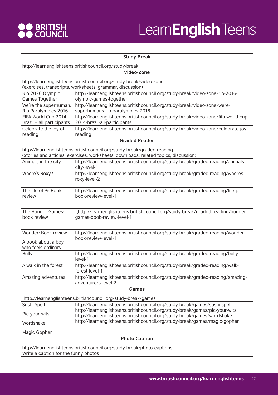

|                                                                        | <b>Study Break</b>                                                                                                                                    |  |
|------------------------------------------------------------------------|-------------------------------------------------------------------------------------------------------------------------------------------------------|--|
|                                                                        | http://learnenglishteens.britishcouncil.org/study-break                                                                                               |  |
|                                                                        | Video-Zone                                                                                                                                            |  |
|                                                                        | http://learnenglishteens.britishcouncil.org/study-break/video-zone                                                                                    |  |
|                                                                        | (exercises, transcripts, worksheets, grammar, discussion)                                                                                             |  |
| Rio 2026 Olympic                                                       | http://learnenglishteens.britishcouncil.org/study-break/video-zone/rio-2016-                                                                          |  |
| Games Together                                                         | olympic-games-together                                                                                                                                |  |
| We're the superhuman:                                                  | http://learnenglishteens.britishcouncil.org/study-break/video-zone/were-                                                                              |  |
| Rio Paralympics 2016                                                   | superhumans-rio-paralympics-2016                                                                                                                      |  |
| FIFA World Cup 2014                                                    | http://learnenglishteens.britishcouncil.org/study-break/video-zone/fifa-world-cup-                                                                    |  |
| Brazil - all participants                                              | 2014-brazil-all-participants                                                                                                                          |  |
| Celebrate the joy of                                                   | http://learnenglishteens.britishcouncil.org/study-break/video-zone/celebrate-joy-                                                                     |  |
| reading                                                                | reading                                                                                                                                               |  |
|                                                                        | <b>Graded Reader</b>                                                                                                                                  |  |
|                                                                        | http://learnenglishteens.britishcouncil.org/study-break/graded-reading                                                                                |  |
|                                                                        | (Stories and articles; exercises, worksheets, downloads, related topics, discussion)                                                                  |  |
| Animals in the city                                                    | http://learnenglishteens.britishcouncil.org/study-break/graded-reading/animals-                                                                       |  |
|                                                                        | city-level-1                                                                                                                                          |  |
| Where's Roxy?                                                          | http://learnenglishteens.britishcouncil.org/study-break/graded-reading/wheres-                                                                        |  |
|                                                                        | roxy-level-2                                                                                                                                          |  |
|                                                                        |                                                                                                                                                       |  |
| The life of Pi: Book                                                   | http://learnenglishteens.britishcouncil.org/study-break/graded-reading/life-pi-                                                                       |  |
| review                                                                 | book-review-level-1                                                                                                                                   |  |
|                                                                        |                                                                                                                                                       |  |
| The Hunger Games:                                                      | (http://learnenglishteens.britishcouncil.org/study-break/graded-reading/hunger-                                                                       |  |
| book review                                                            | games-book-review-level-1                                                                                                                             |  |
|                                                                        |                                                                                                                                                       |  |
| Wonder: Book review                                                    | http://learnenglishteens.britishcouncil.org/study-break/graded-reading/wonder-                                                                        |  |
|                                                                        | book-review-level-1                                                                                                                                   |  |
| A book about a boy                                                     |                                                                                                                                                       |  |
| who feels ordinary                                                     |                                                                                                                                                       |  |
| <b>Bully</b>                                                           | http://learnenglishteens.britishcouncil.org/study-break/graded-reading/bully-                                                                         |  |
|                                                                        | level-1                                                                                                                                               |  |
| A walk in the forest                                                   | http://learnenglishteens.britishcouncil.org/study-break/graded-reading/walk-<br>forest-level-1                                                        |  |
| Amazing adventures                                                     | http://learnenglishteens.britishcouncil.org/study-break/graded-reading/amazing-                                                                       |  |
|                                                                        | adventurers-level-2                                                                                                                                   |  |
|                                                                        | <b>Games</b>                                                                                                                                          |  |
|                                                                        |                                                                                                                                                       |  |
|                                                                        | http://learnenglishteens.britishcouncil.org/study-break/games                                                                                         |  |
| Sushi Spell                                                            | http://learnenglishteens.britishcouncil.org/study-break/games/sushi-spell                                                                             |  |
| Pic-your-wits                                                          | http://learnenglishteens.britishcouncil.org/study-break/games/pic-your-wits                                                                           |  |
|                                                                        | http://learnenglishteens.britishcouncil.org/study-break/games/wordshake<br>http://learnenglishteens.britishcouncil.org/study-break/games/magic-gopher |  |
| Wordshake                                                              |                                                                                                                                                       |  |
| Magic Gopher                                                           |                                                                                                                                                       |  |
|                                                                        | <b>Photo Caption</b>                                                                                                                                  |  |
|                                                                        |                                                                                                                                                       |  |
| http://learnenglishteens.britishcouncil.org/study-break/photo-captions |                                                                                                                                                       |  |
| Write a caption for the funny photos                                   |                                                                                                                                                       |  |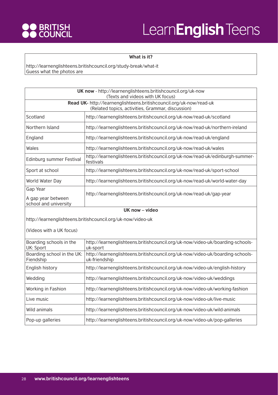

#### **What is it?**

http://learnenglishteens.britishcouncil.org/study-break/what-it Guess what the photos are

| UK now - http://learnenglishteens.britishcouncil.org/uk-now<br>(Texts and videos with UK focus)                          |                                                                                                |  |
|--------------------------------------------------------------------------------------------------------------------------|------------------------------------------------------------------------------------------------|--|
| Read UK- http://learnenglishteens.britishcouncil.org/uk-now/read-uk<br>(Related topics, activities, Grammar, discussion) |                                                                                                |  |
| Scotland                                                                                                                 | http://learnenglishteens.britishcouncil.org/uk-now/read-uk/scotland                            |  |
| Northern Island                                                                                                          | http://learnenglishteens.britishcouncil.org/uk-now/read-uk/northern-ireland                    |  |
| England                                                                                                                  | http://learnenglishteens.britishcouncil.org/uk-now/read-uk/england                             |  |
| Wales                                                                                                                    | http://learnenglishteens.britishcouncil.org/uk-now/read-uk/wales                               |  |
| Edinburg summer Festival                                                                                                 | http://learnenglishteens.britishcouncil.org/uk-now/read-uk/edinburgh-summer-<br>festivals      |  |
| Sport at school                                                                                                          | http://learnenglishteens.britishcouncil.org/uk-now/read-uk/sport-school                        |  |
| World Water Day                                                                                                          | http://learnenglishteens.britishcouncil.org/uk-now/read-uk/world-water-day                     |  |
| Gap Year<br>A gap year between<br>school and university                                                                  | http://learnenglishteens.britishcouncil.org/uk-now/read-uk/gap-year                            |  |
| UK now - video                                                                                                           |                                                                                                |  |
|                                                                                                                          |                                                                                                |  |
|                                                                                                                          | http://learnenglishteens.britishcouncil.org/uk-now/video-uk                                    |  |
| (Videos with a UK focus)                                                                                                 |                                                                                                |  |
| Boarding schools in the<br>UK: Sport                                                                                     | http://learnenglishteens.britishcouncil.org/uk-now/video-uk/boarding-schools-<br>uk-sport      |  |
| Boarding school in the UK:<br>Fiendship                                                                                  | http://learnenglishteens.britishcouncil.org/uk-now/video-uk/boarding-schools-<br>uk-friendship |  |
| English history                                                                                                          | http://learnenglishteens.britishcouncil.org/uk-now/video-uk/english-history                    |  |
| Wedding                                                                                                                  | http://learnenglishteens.britishcouncil.org/uk-now/video-uk/weddings                           |  |
| Working in Fashion                                                                                                       | http://learnenglishteens.britishcouncil.org/uk-now/video-uk/working-fashion                    |  |
| Live music                                                                                                               | http://learnenglishteens.britishcouncil.org/uk-now/video-uk/live-music                         |  |
| Wild animals                                                                                                             | http://learnenglishteens.britishcouncil.org/uk-now/video-uk/wild-animals                       |  |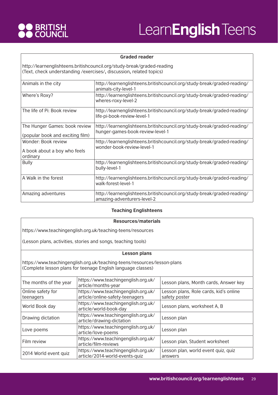

#### **Graded reader**

http://learnenglishteens.britishcouncil.org/study-break/graded-reading (Text, check understanding /exercises/**,** discussion**,** related topics)

| Animals in the city                                               | http://learnenglishteens.britishcouncil.org/study-break/graded-reading/<br>animals-city-level-1             |
|-------------------------------------------------------------------|-------------------------------------------------------------------------------------------------------------|
| Where's Roxy?                                                     | http://learnenglishteens.britishcouncil.org/study-break/graded-reading/<br>wheres-roxy-level-2              |
| The life of Pi: Book review                                       | http://learnenglishteens.britishcouncil.org/study-break/graded-reading/<br>life-pi-book-review-level-1      |
| The Hunger Games: book review<br>(popular book and exciting film) | http://learnenglishteens.britishcouncil.org/study-break/graded-reading/<br>hunger-games-book-review-level-1 |
| Wonder: Book review<br>A book about a boy who feels<br>ordinary   | http://learnenglishteens.britishcouncil.org/study-break/graded-reading/<br>wonder-book-review-level-1       |
| <b>Bully</b>                                                      | http://learnenglishteens.britishcouncil.org/study-break/graded-reading/<br>bully-level-1                    |
| A Walk in the forest                                              | http://learnenglishteens.britishcouncil.org/study-break/graded-reading/<br>walk-forest-level-1              |
| Amazing adventures                                                | http://learnenglishteens.britishcouncil.org/study-break/graded-reading/<br>amazing-adventurers-level-2      |

#### **Teaching Englishteens**

#### **Resources/materials**

https://www.teachingenglish.org.uk/teaching-teens/resources

(Lesson plans, activities, stories and songs, teaching tools)

#### **Lesson plans**

https://www.teachingenglish.org.uk/teaching-teens/resources/lesson-plans (Complete lesson plans for teenage English language classes)

| The months of the year         | https://www.teachingenglish.org.uk/<br>article/months-year             | Lesson plans, Month cards, Answer key                   |
|--------------------------------|------------------------------------------------------------------------|---------------------------------------------------------|
| Online safety for<br>teenagers | https://www.teachingenglish.org.uk/<br>article/online-safety-teenagers | Lesson plans, Role cards, kid's online<br>safety poster |
| World Book day                 | https://www.teachingenglish.org.uk/<br>article/world-book-day          | Lesson plans, worksheet A, B                            |
| Drawing dictation              | https://www.teachingenglish.org.uk/<br>article/drawing-dictation       | Lesson plan                                             |
| Love poems                     | https://www.teachingenglish.org.uk/<br>article/love-poems              | Lesson plan                                             |
| Film review                    | https://www.teachingenglish.org.uk/<br>article/film-reviews            | Lesson plan, Student worksheet                          |
| 2014 World event quiz          | https://www.teachingenglish.org.uk/<br>article/2014-world-events-quiz  | Lesson plan, world event quiz, quiz<br>answers          |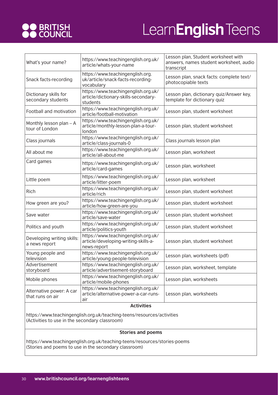

| What's your name?                            | https://www.teachingenglish.org.uk/<br>article/whats-your-name                             | Lesson plan, Student worksheet with<br>answers, names student worksheet, audio<br>transcript |
|----------------------------------------------|--------------------------------------------------------------------------------------------|----------------------------------------------------------------------------------------------|
| Snack facts-recording                        | https://www.teachingenglish.org.<br>uk/article/snack-facts-recording-<br>vocabulary        | Lesson plan, snack facts: complete text/<br>photocopiable texts                              |
| Dictionary skills for<br>secondary students  | https://www.teachingenglish.org.uk/<br>article/dictionary-skills-secondary-<br>students    | Lesson plan, dictionary quiz/Answer key,<br>template for dictionary quiz                     |
| Football and motivation                      | https://www.teachingenglish.org.uk/<br>article/football-motivation                         | Lesson plan, student worksheet                                                               |
| Monthly lesson plan - A<br>tour of London    | https://www.teachingenglish.org.uk/<br>article/monthly-lesson-plan-a-tour-<br>london       | Lesson plan, student worksheet                                                               |
| Class journals                               | https://www.teachingenglish.org.uk/<br>article/class-journals-0                            | Class journals lesson plan                                                                   |
| All about me                                 | https://www.teachingenglish.org.uk/<br>article/all-about-me                                | Lesson plan, worksheet                                                                       |
| Card games                                   | https://www.teachingenglish.org.uk/<br>article/card-games                                  | Lesson plan, worksheet                                                                       |
| Little poem                                  | https://www.teachingenglish.org.uk/<br>article/litter-poem                                 | Lesson plan, worksheet                                                                       |
| Rich                                         | https://www.teachingenglish.org.uk/<br>article/rich                                        | Lesson plan, student worksheet                                                               |
| How green are you?                           | https://www.teachingenglish.org.uk/<br>article/how-green-are-you                           | Lesson plan, student worksheet                                                               |
| Save water                                   | https://www.teachingenglish.org.uk/<br>article/save-water                                  | Lesson plan, student worksheet                                                               |
| Politics and youth                           | https://www.teachingenglish.org.uk/<br>article/politics-youth                              | Lesson plan, student worksheet                                                               |
| Developing writing skills:<br>a news report  | https://www.teachingenglish.org.uk/<br>article/developing-writing-skills-a-<br>news-report | Lesson plan, student worksheet                                                               |
| Young people and<br>television               | https://www.teachingenglish.org.uk/<br>article/young-people-television                     | Lesson plan, worksheets (pdf)                                                                |
| Advertisement<br>storyboard                  | https://www.teachingenglish.org.uk/<br>article/advertisement-storyboard                    | Lesson plan, worksheet, template                                                             |
| Mobile phones                                | https://www.teachingenglish.org.uk/<br>article/mobile-phones                               | Lesson plan, worksheets                                                                      |
| Alternative power: A car<br>that runs on air | https://www.teachingenglish.org.uk/<br>article/alternative-power-a-car-runs-<br>air        | Lesson plan, worksheets                                                                      |
| <b>Activities</b>                            |                                                                                            |                                                                                              |

https://www.teachingenglish.org.uk/teaching-teens/resources/activities (Activities to use in the secondary classroom)

#### **Stories and poems**

https://www.teachingenglish.org.uk/teaching-teens/resources/stories-poems (Stories and poems to use in the secondary classroom)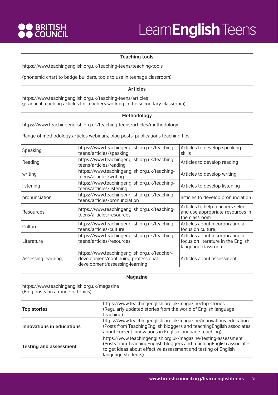

#### **Teaching tools**

https://www.teachingenglish.org.uk/teaching-teens/teaching-tools

(phonemic chart to badge builders, tools to use in teenage classroom)

#### **Articles**

https://www.teachingenglish.org.uk/teaching-teens/articles (practical teaching articles for teachers working in the secondary classroom)

#### **Methodology**

https://www.teachingenglish.org.uk/teaching-teens/articles/methodology

Range of methodology articles webinars, blog posts, publications teaching tips;

| Speaking            | https://www.teachingenglish.org.uk/teaching-<br>teens/articles/speaking                                               | Articles to develop speaking<br>skills                                                      |
|---------------------|-----------------------------------------------------------------------------------------------------------------------|---------------------------------------------------------------------------------------------|
| Reading             | https://www.teachingenglish.org.uk/teaching-<br>teens/articles/reading                                                | Articles to develop reading                                                                 |
| writing             | https://www.teachingenglish.org.uk/teaching-<br>teens/articles/writing                                                | Articles to develop writing                                                                 |
| listening           | https://www.teachingenglish.org.uk/teaching-<br>teens/articles/listening                                              | Articles to develop listening                                                               |
| pronunciation       | https://www.teachingenglish.org.uk/teaching-<br>teens/articles/pronunciation                                          | articles to develop pronunciation                                                           |
| Resources           | https://www.teachingenglish.org.uk/teaching-<br>teens/articles/resources                                              | Articles to help teachers select<br>and use appropriate resources in<br>the classroom       |
| Culture             | https://www.teachingenglish.org.uk/teaching-<br>teens/articles/culture                                                | Articles about incorporating a<br>focus on culture;                                         |
| Literature          | https://www.teachingenglish.org.uk/teaching-<br>teens/articles/resources                                              | Articles about incorporating a<br>focus on literature in the English<br>language classroom; |
| Assessing learning, | https://www.teachingenglish.org.uk/teacher-<br>development/continuing-professional-<br>development/assessing-learning | Articles about assessment                                                                   |

| <b>Magazine</b>                                                                  |                                                                                                                                                                                                                                 |  |
|----------------------------------------------------------------------------------|---------------------------------------------------------------------------------------------------------------------------------------------------------------------------------------------------------------------------------|--|
| https://www.teachingenglish.org.uk/magazine<br>(Blog posts on a range of topics) |                                                                                                                                                                                                                                 |  |
| <b>Top stories</b>                                                               | https://www.teachingenglish.org.uk/magazine/top-stories<br>(Regularly updated stories from the world of English language<br>teaching)                                                                                           |  |
| Innovations in educations                                                        | https://www.teachingenglish.org.uk/magazine/innovations-education<br>(Posts from Teaching English bloggers and teaching English associates<br>about current innovations in English language teaching)                           |  |
| <b>Testing and assessment</b>                                                    | https://www.teachingenglish.org.uk/magazine/testing-assessment<br>(Posts from Teaching English bloggers and teaching English associates<br>to get ideas about effective assessment and testing of English<br>language students) |  |